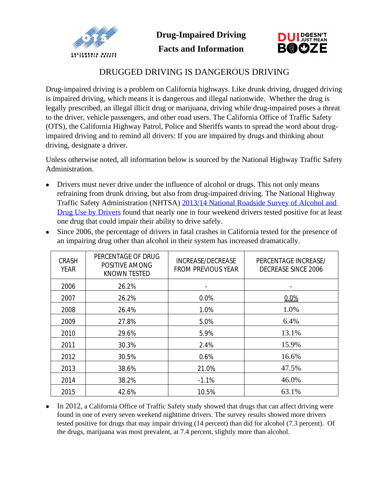



## DRUGGED DRIVING IS DANGEROUS DRIVING

Drug-impaired driving is a problem on California highways. Like drunk driving, drugged driving is impaired driving, which means it is dangerous and illegal nationwide. Whether the drug is legally prescribed, an illegal illicit drug or marijuana, driving while drug-impaired poses a threat to the driver, vehicle passengers, and other road users. The California Office of Traffic Safety (OTS), the California Highway Patrol, Police and Sheriffs wants to spread the word about drugimpaired driving and to remind all drivers: If you are impaired by drugs and thinking about driving, designate a driver.

Unless otherwise noted, all information below is sourced by the National Highway Traffic Safety Administration.

- Drivers must never drive under the influence of alcohol or drugs. This not only means refraining from drunk driving, but also from drug-impaired driving. The National Highway Traffic Safety Administration (NHTSA) [2013/14 National Roadside Survey of Alcohol and](http://www.nhtsa.gov/staticfiles/nti/pdf/812118-Roadside_Survey_2014.pdf)  Drug Use by Drivers found that nearly one in four weekend drivers tested positive for at least one drug that could impair their ability to drive safely.
- Since 2006, the percentage of drivers in fatal crashes in California tested for the presence of an impairing drug other than alcohol in their system has increased dramatically.

| <b>CRASH</b><br><b>YEAR</b> | PERCENTAGE OF DRUG<br>POSITIVE AMONG<br><b>KNOWN TESTED</b> | INCREASE/DECREASE<br><b>FROM PREVIOUS YEAR</b> | PERCENTAGE INCREASE/<br><b>DECREASE SINCE 2006</b> |
|-----------------------------|-------------------------------------------------------------|------------------------------------------------|----------------------------------------------------|
| 2006                        | 26.2%                                                       | $\overline{\phantom{a}}$                       | $\overline{a}$                                     |
| 2007                        | 26.2%                                                       | 0.0%                                           | 0.0%                                               |
| 2008                        | 26.4%                                                       | 1.0%                                           | 1.0%                                               |
| 2009                        | 27.8%                                                       | 5.0%                                           | 6.4%                                               |
| 2010                        | 29.6%                                                       | 5.9%                                           | 13.1%                                              |
| 2011                        | 30.3%                                                       | 2.4%                                           | 15.9%                                              |
| 2012                        | 30.5%                                                       | 0.6%                                           | 16.6%                                              |
| 2013                        | 38.6%                                                       | 21.0%                                          | 47.5%                                              |
| 2014                        | 38.2%                                                       | $-1.1%$                                        | 46.0%                                              |
| 2015                        | 42.6%                                                       | 10.5%                                          | 63.1%                                              |

• In 2012, a California Office of Traffic Safety study showed that drugs that can affect driving were found in one of every seven weekend nighttime drivers. The survey results showed more drivers tested positive for drugs that may impair driving (14 percent) than did for alcohol (7.3 percent). Of the drugs, marijuana was most prevalent, at 7.4 percent, slightly more than alcohol.